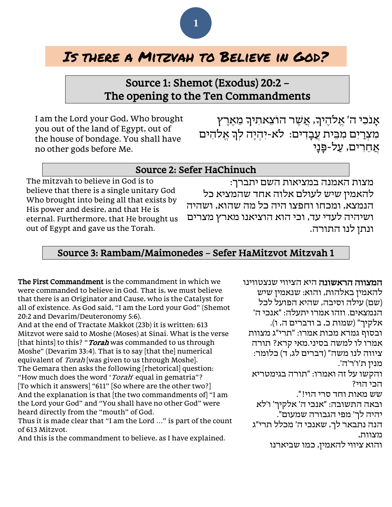# **1**

# Is there a Mitzvah to Believe in God?

# Source 1: Shemot (Exodus) 20:2 – The opening to the Ten Commandments

I am the Lord your God, Who brought you out of the land of Egypt, out of the house of bondage. You shall have no other gods before Me.

אָנֹכִי ה' אֵלהֵיךָ, אֲשֶׁר הוֹצֵאתִיךָ מֵאֵרֵץ מִצְרַיִם מִבֵּית עֲבָדִים: לֹא-יִהְיֶה לִךְ אֱלהִים אַחרים, עַל-פַּנַי

#### Source 2: Sefer HaChinuch

The mitzvah to believe in God is to believe that there is a single unitary God Who brought into being all that exists by His power and desire, and that He is eternal. Furthermore, that He brought us out of Egypt and gave us the Torah.

מצות האמנה במציאות השם יתברך: להאמין שיש לעולם אלוה אחד שהמציא כל הנמצא, ומכחו וחפצו היה כל מה שהוא, ושהיה ושיהיה לעדי עד, וכי הוא הוציאנו מארץ מצרים ונתן לנו התורה.

### Source 3: Rambam/Maimonedes – Sefer HaMitzvot Mitzvah 1

The First Commandment is the commandment in which we were commanded to believe in God. That is, we must believe that there is an Originator and Cause, who is the Catalyst for all of existence. As God said, "I am the Lord your God" (Shemot 20:2 and Devarim/Deuteronomy 5:6).

And at the end of Tractate Makkot (23b) it is written: 613 Mitzvot were said to Moshe (Moses) at Sinai. What is the verse [that hints] to this? "*Torah* was commanded to us through Moshe" (Devarim 33:4). That is to say [that the] numerical equivalent of Torah was given to us through Moshe]. The Gemara then asks the following [rhetorical] question: "How much does the word 'Torah' equal in gematria"? [To which it answers] "611" [So where are the other two?] And the explanation is that [the two commandments of] "I am the Lord your God" and "You shall have no other God" were heard directly from the "mouth" of God.

Thus it is made clear that "I am the Lord …" is part of the count of 613 Mitzvot.

And this is the commandment to believe, as I have explained.

המצווה הראשונה היא הציווי שנצטווינו להאמין באלהות, והוא: שנאמין שיש (שם) עילה וסיבה, שהיא הפועל לכל הנמצאים. וזהו אמרו יתעלה: "אנכי ה' אלקיך" (שמות כ, ב ודברים ה, ו). ובסוף גמרא מכות אמרו: "תרי"ג מצוות אמרו לו למשה בסיני.מאי קרא? תורה ציווה לנו משה" (דברים לג, ד) כלומר: מנין ת'ו'ר'ה'. והקשו על זה ואמרו: "תורה בגימטריא הכי הוי? שש מאות וחד סרי הוי!". ובאה התשובה: "אנכי ה' אלקיך' ו'לא יהיה לך' מפי הגבורה שמעום". הנה נתבאר לך, שאנכי ה' מכלל תרי"ג מצוות, והוא ציווי להאמין, כמו שביארנו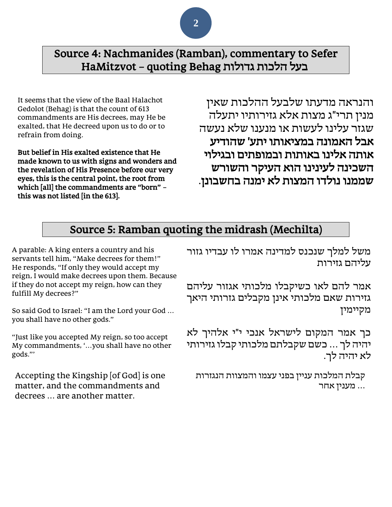Source 4: Nachmanides (Ramban), commentary to Sefer ב על הלכות גדולות Behag quoting – HaMitzvot

It seems that the view of the Baal Halachot Gedolot (Behag) is that the count of 613 commandments are His decrees, may He be exalted, that He decreed upon us to do or to refrain from doing.

But belief in His exalted existence that He made known to us with signs and wonders and the revelation of His Presence before our very eyes, this is the central point, the root from which [all] the commandments are "born" – this was not listed [in the 613].

והנראה מדעתו שלבעל ההלכות שאין מנין תרי"ג מצות אלא גזירותיו יתעלה שגזר עלינו לעשות או מנענו שלא נעשה אבל האמונה במציאותו יתע' שהודיע אותה אלינו באותות ובמופתים ובגילוי השכינה לעינינו הוא העיקר והשורש שממנו נולדו המצות לא ימנה בחשבונן.

## Source 5: Ramban quoting the midrash (Mechilta)

A parable: A king enters a country and his servants tell him, "Make decrees for them!" He responds, "If only they would accept my reign, I would make decrees upon them. Because if they do not accept my reign, how can they fulfill My decrees?"

So said God to Israel: "I am the Lord your God … you shall have no other gods."

"Just like you accepted My reign, so too accept My commandments, '…you shall have no other gods."'

Accepting the Kingship [of God] is one matter, and the commandments and decrees … are another matter.

משל למלך שנכנס למדינה אמרו לו עבדיו גזור עליהם גזירות

אמר להם לאו כשיקבלו מלכותי אגזור עליהם גזירות שאם מלכותי אינן מקבלים גזרותי היאך מקיימין

כך אמר המקום לישראל אנכי י"י אלהיך לא יהיה לך ... כשם שקבלתם מלכותי קבלו גזירותי לא יהיה לך.

קבלת המלכות עניין בפני עצמו והמצוות הנגזרות ... מענין אחר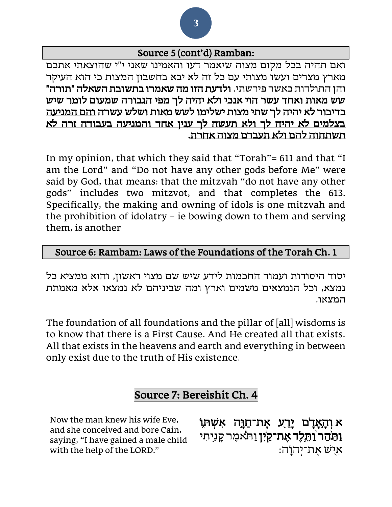#### Source 5 (cont'd) Ramban:

ואם תהיה בכל מקום מצוה שיאמר דעו והאמינו שאני י"י שהוצאתי אתכם מארץ מצרים ועשו מצותי עם כל זה לא יבא בחשבון המצות כי הוא העיקר והן התולדות כאשר פירשתי. ולדעת הזו מה שאמרו בתשובת השאלה "תורה" שש מאות ואחד עשר הוי אנכי ולא יהיה לך מפי הגבורה שמעום לומר שיש בדיבור לא יהיה לך שתי מצות ישלימו לשש מאות ושלש עשרה והם המניעה בצלמים לא יהיה לך ולא תעשה לך ענין אחד והמניעה בעבודה זרה לא תשתחוה להם ולא תעבדם מצוה אחרת .

In my opinion, that which they said that "Torah"= 611 and that "I am the Lord" and "Do not have any other gods before Me" were said by God, that means: that the mitzvah "do not have any other gods" includes two mitzvot, and that completes the 613. Specifically, the making and owning of idols is one mitzvah and the prohibition of idolatry – ie bowing down to them and serving them, is another

#### Source 6: Rambam: Laws of the Foundations of the Torah Ch. 1

יסוד היסודות ועמוד החכמות לידע שיש שם מצוי ראשון, והוא ממציא כל נמצא, וכל הנמצאים משמים וארץ ומה שביניהם לא נמצאו אלא מאמתת המצאו.

The foundation of all foundations and the pillar of [all] wisdoms is to know that there is a First Cause. And He created all that exists. All that exists in the heavens and earth and everything in between only exist due to the truth of His existence.

# Source 7: Bereishit Ch. 4

Now the man knew his wife Eve, and she conceived and bore Cain, saying, "I have gained a male child with the help of the LORD."

א **֣** וְ הָ **֔**אָ דָ **֖** ם יָדַ **֣** ע אֶ ת־חַ ו ָ **֑** ה אִ ש ְ ת וֹ **וַתַּהַר<sup>י</sup>וַתֵּלֶד אֶת־קַיִּין** וַתֹּאמֶר קָנִיתִי ּאִישׁ אָת־יְהוַׂה: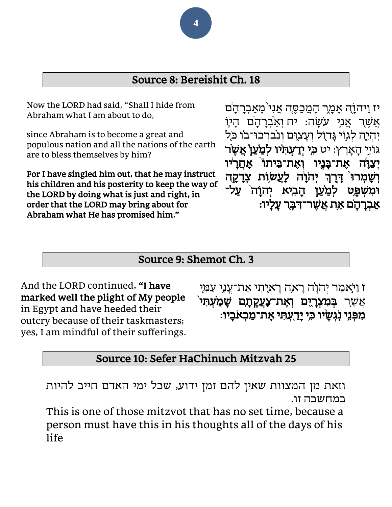## Source 8: Bereishit Ch. 18

Now the LORD had said, "Shall I hide from Abraham what I am about to do,

since Abraham is to become a great and populous nation and all the nations of the earth are to bless themselves by him?

For I have singled him out, that he may instruct his children and his posterity to keep the way of the LORD by doing what is just and right, in order that the LORD may bring about for Abraham what He has promised him."

יז וַיהוָה אָמֶר הָמֲכַסֶּה אֲנִי<sup>י</sup>מָאַבְרָהָ<sup>ׂ</sup>ם אֲשֶׁר אֲנִי עֹשָׂה: יח וְאַבְרָהָ<sup>ׂ</sup>ם הָיוָ יְהִייֶה לְגְוֹי גַּדוֹל וְעָצוֶם וְנִבְרְכוּ־בוֹ כֹּל ג ֹוֵ֥יי הָ אָָֹֽ רֶ ץ: יט **֣**כ ִ **֗** י יְדַ עְ ת ִ **֩** יו לְ מַ **֩**עַ ן **֨**אֲ ש ֶ ר יִצַוֶּה אֶת־בָּנֶיו וְאֶת־בֵּיתוֹ אָחֲרָיׁו ְך **֙** וְ ש ָָֹֽ מְ רו **֣**ד ֶ ְי ֹהָ ו ֶר **֔ ֥** ה לַָֹֽ עֲש **֖** וֹת צְ דָ קָ ה **וֹמִשִׁפֵּט לִמַּעַן הַבִיא יִהוָ**ׂה עַל־ **֔** אַ בְ רָ הָ **֥** ם אֵ **֖** ת אֲ ש ֶ ר־ד ִ ב ֶ ר עָ לָָֹֽ יו:

#### Source 9: Shemot Ch. 3

And the LORD continued, "I have marked well the plight of My people in Egypt and have heeded their outcry because of their taskmasters; yes, I am mindful of their sufferings. <mark>ז וַי</mark>ֹּאמֶר יִהֹוָ<sup>ׂ</sup>ה רָא*ֶ*ה רָאיָתִי אֶת־עֲנִי עַמְיִ ֣אֲ ש ֶ ר ב ְ מִ צְ **֑**רָ **֤** יִ ם וְ אֶ ת־צַָֹֽ עֲקָ תָ **֨** ם ש ָ מַ **֙** עְ ת ִ י ּמִפְּנֵי נְגְשָׂיו כִּי יָ<u>ד</u>ֻעְתִּי אֶת־מַכְאֹבָיו:

# Source 10: Sefer HaChinuch Mitzvah 25

וזאת מן המצוות שאין להם זמן ידוע, ש<u>כל ימי האדם</u> חייב להיות במחשבה זו.

This is one of those mitzvot that has no set time, because a person must have this in his thoughts all of the days of his life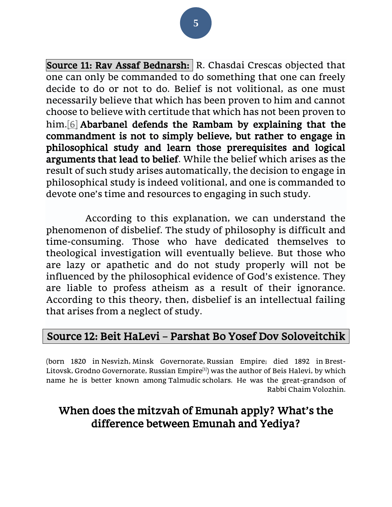#### Source 11: Rav Assaf Bednarsh: R. Chasdai Crescas objected that one can only be commanded to do something that one can freely decide to do or not to do. Belief is not volitional, as one must necessarily believe that which has been proven to him and cannot choose to believe with certitude that which has not been proven to him.<sup>[6]</sup> Abarbanel defends the Rambam by explaining that the commandment is not to simply believe, but rather to engage in philosophical study and learn those prerequisites and logical arguments that lead to belief. While the belief which arises as the result of such study arises automatically, the decision to engage in philosophical study is indeed volitional, and one is commanded to devote one's time and resources to engaging in such study.

 According to this explanation, we can understand the phenomenon of disbelief. The study of philosophy is difficult and time-consuming. Those who have dedicated themselves to theological investigation will eventually believe. But those who are lazy or apathetic and do not study properly will not be influenced by the philosophical evidence of God's existence. They are liable to profess atheism as a result of their ignorance. According to this theory, then, disbelief is an intellectual failing that arises from a neglect of study.

# Source 12: Beit HaLevi – Parshat Bo Yosef Dov Soloveitchik

(born 1820 in [Nesvizh,](https://en.wikipedia.org/wiki/Nesvizh) [Minsk Governorate,](https://en.wikipedia.org/wiki/Minsk_Governorate) [Russian Empire;](https://en.wikipedia.org/wiki/Russian_Empire) died 1892 in [Brest-](https://en.wikipedia.org/wiki/Brest-Litovsk) Litovsk, Grodno Governorate, Russian Empire<sup>[\[1\]](https://en.wikipedia.org/wiki/Yosef_Dov_Soloveitchik_(Beis_Halevi)#cite_note-1)</sup>) was the author of Beis Halevi, by which name he is better known among [Talmudic](https://en.wikipedia.org/wiki/Talmud) scholars. He was the great-grandson of Rabbi [Chaim Volozhin.](https://en.wikipedia.org/wiki/Chaim_Volozhin)

# When does the mitzvah of Emunah apply? What's the difference between Emunah and Yediya?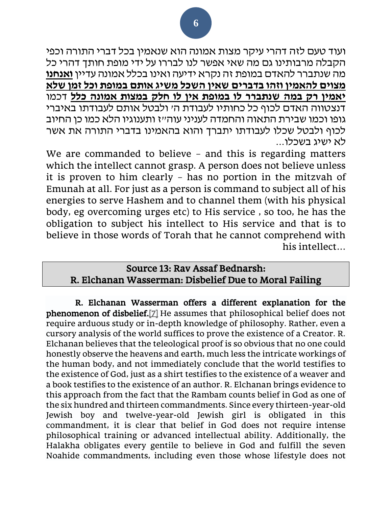ועוד טעם לזה דהרי עיקר מצות אמונה הוא שנאמין בכל דברי התורה וכפי הקבלה מרבותינו גם מה שאי אפשר לנו לבררו על ידי מופת חותך דהרי כל מה שנתברר להאדם במופת זה נקרא ידיעה ואינו בכלל אמונה עדיין **ואנחנו מצוים להאמין וזהו בדברים שאין השכל משיג אותם במופת וכל זמן שלא יאמין רק במה שנתברר לו במופת אין לו חלק במצות אמונה כלל** דכמו דנצטווה האדם לכוף כל כחותיו לעבודת ה' ולבטל אותם לעבודתו באיברי גופו וכמו שבירת התאוה והחמדה לעניני עוה"ז ותענוגיו הלא כמו כן החיוב לכוף ולבטל שכלו לעבודתו יתברך והוא בהאמינו בדברי התורה את אשר לא ישיג בשכלו...

We are commanded to believe - and this is regarding matters which the intellect cannot grasp. A person does not believe unless it is proven to him clearly – has no portion in the mitzvah of Emunah at all. For just as a person is command to subject all of his energies to serve Hashem and to channel them (with his physical body, eg overcoming urges etc) to His service , so too, he has the obligation to subject his intellect to His service and that is to believe in those words of Torah that he cannot comprehend with his intellect…

#### Source 13: Rav Assaf Bednarsh: R. Elchanan Wasserman: Disbelief Due to Moral Failing

R. Elchanan Wasserman offers a different explanation for the phenomenon of disbelief[.\[7\]](https://www.etzion.org.il/en/shiur-18-belief-god-2#_ftn7) He assumes that philosophical belief does not require arduous study or in-depth knowledge of philosophy. Rather, even a cursory analysis of the world suffices to prove the existence of a Creator. R. Elchanan believes that the teleological proof is so obvious that no one could honestly observe the heavens and earth, much less the intricate workings of the human body, and not immediately conclude that the world testifies to the existence of God, just as a shirt testifies to the existence of a weaver and a book testifies to the existence of an author. R. Elchanan brings evidence to this approach from the fact that the Rambam counts belief in God as one of the six hundred and thirteen commandments. Since every thirteen-year-old Jewish boy and twelve-year-old Jewish girl is obligated in this commandment, it is clear that belief in God does not require intense philosophical training or advanced intellectual ability. Additionally, the Halakha obligates every gentile to believe in God and fulfill the seven Noahide commandments, including even those whose lifestyle does not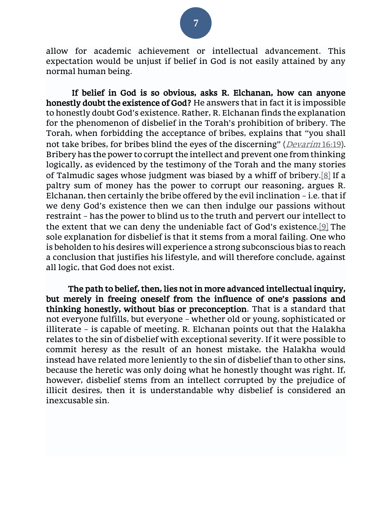

allow for academic achievement or intellectual advancement. This expectation would be unjust if belief in God is not easily attained by any normal human being.

 If belief in God is so obvious, asks R. Elchanan, how can anyone honestly doubt the existence of God? He answers that in fact it is impossible to honestly doubt God's existence. Rather, R. Elchanan finds the explanation for the phenomenon of disbelief in the Torah's prohibition of bribery. The Torah, when forbidding the acceptance of bribes, explains that "you shall not take bribes, for bribes blind the eyes of the discerning" (*[Devarim](https://www.sefaria.org/Deuteronomy.16.19?lang=he-en&utm_source=sef_linker)* [16:19\)](https://www.sefaria.org/Deuteronomy.16.19?lang=he-en&utm_source=sef_linker). Bribery has the power to corrupt the intellect and prevent one from thinking logically, as evidenced by the testimony of the Torah and the many stories of Talmudic sages whose judgment was biased by a whiff of bribery[.\[8\]](https://www.etzion.org.il/en/shiur-18-belief-god-2#_ftn8) If a paltry sum of money has the power to corrupt our reasoning, argues R. Elchanan, then certainly the bribe offered by the evil inclination – i.e. that if we deny God's existence then we can then indulge our passions without restraint – has the power to blind us to the truth and pervert our intellect to the extent that we can deny the undeniable fact of God's existence.[\[9\]](https://www.etzion.org.il/en/shiur-18-belief-god-2#_ftn9) The sole explanation for disbelief is that it stems from a moral failing. One who is beholden to his desires will experience a strong subconscious bias to reach a conclusion that justifies his lifestyle, and will therefore conclude, against all logic, that God does not exist.

 The path to belief, then, lies not in more advanced intellectual inquiry, but merely in freeing oneself from the influence of one's passions and thinking honestly, without bias or preconception. That is a standard that not everyone fulfills, but everyone – whether old or young, sophisticated or illiterate – is capable of meeting. R. Elchanan points out that the Halakha relates to the sin of disbelief with exceptional severity. If it were possible to commit heresy as the result of an honest mistake, the Halakha would instead have related more leniently to the sin of disbelief than to other sins, because the heretic was only doing what he honestly thought was right. If, however, disbelief stems from an intellect corrupted by the prejudice of illicit desires, then it is understandable why disbelief is considered an inexcusable sin.